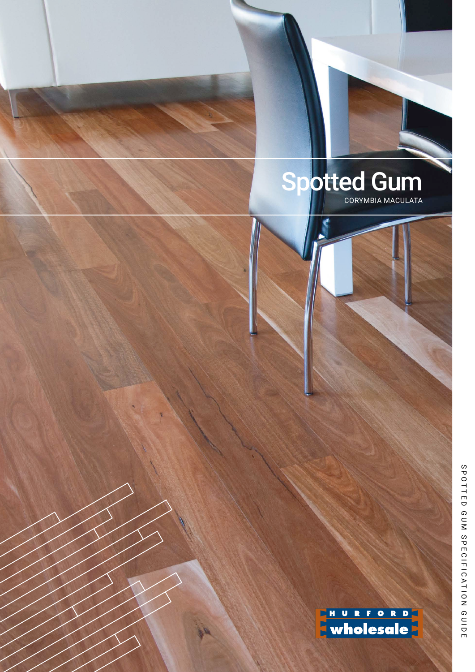

ENURFORD